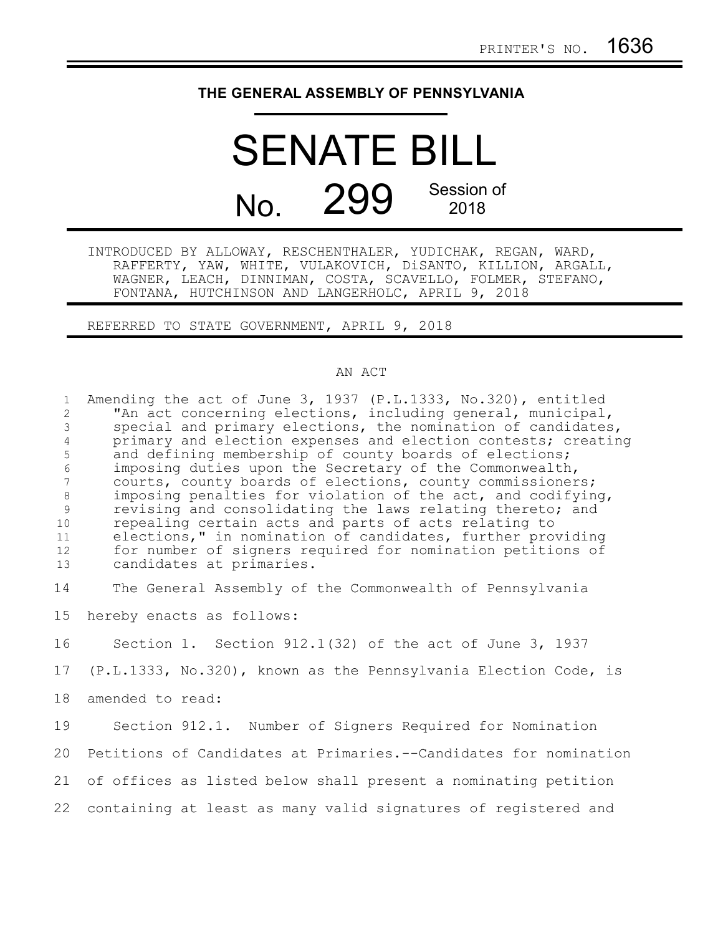## **THE GENERAL ASSEMBLY OF PENNSYLVANIA**

## SENATE BILL No. 299 Session of 2018

INTRODUCED BY ALLOWAY, RESCHENTHALER, YUDICHAK, REGAN, WARD, RAFFERTY, YAW, WHITE, VULAKOVICH, DiSANTO, KILLION, ARGALL, WAGNER, LEACH, DINNIMAN, COSTA, SCAVELLO, FOLMER, STEFANO, FONTANA, HUTCHINSON AND LANGERHOLC, APRIL 9, 2018

REFERRED TO STATE GOVERNMENT, APRIL 9, 2018

## AN ACT

Amending the act of June 3, 1937 (P.L.1333, No.320), entitled "An act concerning elections, including general, municipal, special and primary elections, the nomination of candidates, primary and election expenses and election contests; creating and defining membership of county boards of elections; imposing duties upon the Secretary of the Commonwealth, courts, county boards of elections, county commissioners; imposing penalties for violation of the act, and codifying, revising and consolidating the laws relating thereto; and repealing certain acts and parts of acts relating to elections," in nomination of candidates, further providing for number of signers required for nomination petitions of candidates at primaries. The General Assembly of the Commonwealth of Pennsylvania hereby enacts as follows: Section 1. Section 912.1(32) of the act of June 3, 1937 (P.L.1333, No.320), known as the Pennsylvania Election Code, is amended to read: Section 912.1. Number of Signers Required for Nomination Petitions of Candidates at Primaries.--Candidates for nomination of offices as listed below shall present a nominating petition 21 containing at least as many valid signatures of registered and 1 2 3 4 5 6 7 8 9 10 11 12 13 14 15 16 17 18 19 20 22